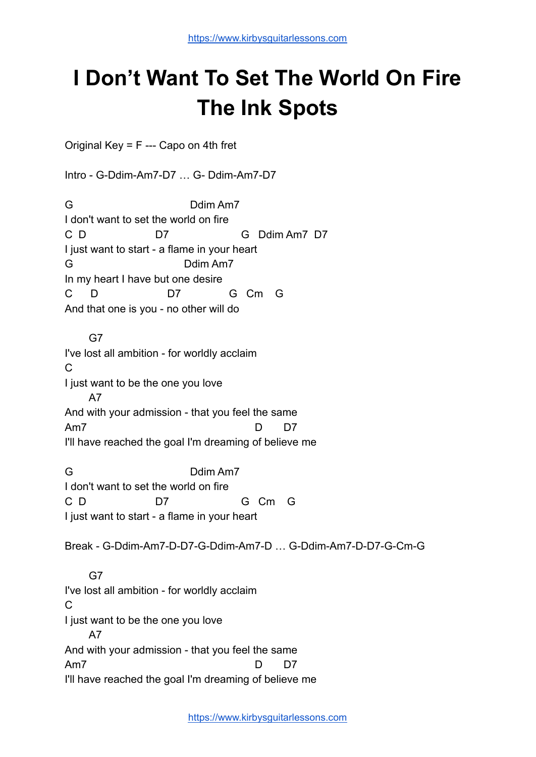## **I Don't Want To Set The World On Fire The Ink Spots**

Original Key = F --- Capo on 4th fret

Intro - G-Ddim-Am7-D7 … G- Ddim-Am7-D7

G Ddim Am7 I don't want to set the world on fire C D D7 G Ddim Am7 D7 I just want to start - a flame in your heart G Ddim Am7 In my heart I have but one desire C D D7 G Cm G And that one is you - no other will do

G7 I've lost all ambition - for worldly acclaim C I just want to be the one you love A7 And with your admission - that you feel the same Am7 D D7 I'll have reached the goal I'm dreaming of believe me

G Ddim Am7 I don't want to set the world on fire C D D7 G Cm G I just want to start - a flame in your heart

Break - G-Ddim-Am7-D-D7-G-Ddim-Am7-D … G-Ddim-Am7-D-D7-G-Cm-G

G7 I've lost all ambition - for worldly acclaim C I just want to be the one you love A7 And with your admission - that you feel the same Am7 D D7 I'll have reached the goal I'm dreaming of believe me